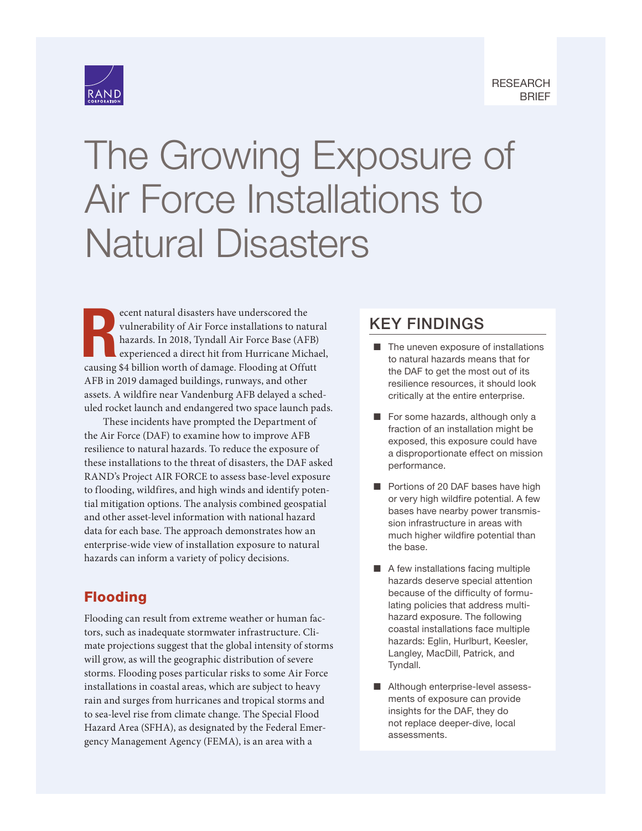

# The Growing Exposure of [Air Force Installations to](https://www.rand.org/pubs/research_briefs/RBA523-1.html)  Natural Disasters

ecent natural disasters have underscored the<br>vulnerability of Air Force installations to natur<br>hazards. In 2018, Tyndall Air Force Base (AFB)<br>experienced a direct hit from Hurricane Micha<br>causing \$4 billion worth of damage ecent natural disasters have underscored the vulnerability of Air Force installations to natural hazards. In 2018, Tyndall Air Force Base (AFB) experienced a direct hit from Hurricane Michael, AFB in 2019 damaged buildings, runways, and other assets. A wildfire near Vandenburg AFB delayed a scheduled rocket launch and endangered two space launch pads.

These incidents have prompted the Department of the Air Force (DAF) to examine how to improve AFB resilience to natural hazards. To reduce the exposure of these installations to the threat of disasters, the DAF asked RAND's Project AIR FORCE to assess base-level exposure to flooding, wildfires, and high winds and identify potential mitigation options. The analysis combined geospatial and other asset-level information with national hazard data for each base. The approach demonstrates how an enterprise-wide view of installation exposure to natural hazards can inform a variety of policy decisions.

## Flooding

Flooding can result from extreme weather or human factors, such as inadequate stormwater infrastructure. Climate projections suggest that the global intensity of storms will grow, as will the geographic distribution of severe storms. Flooding poses particular risks to some Air Force installations in coastal areas, which are subject to heavy rain and surges from hurricanes and tropical storms and to sea-level rise from climate change. The Special Flood Hazard Area (SFHA), as designated by the Federal Emergency Management Agency (FEMA), is an area with a

# KEY FINDINGS

- The uneven exposure of installations to natural hazards means that for the DAF to get the most out of its resilience resources, it should look critically at the entire enterprise.
- For some hazards, although only a fraction of an installation might be exposed, this exposure could have a disproportionate effect on mission performance.
- Portions of 20 DAF bases have high or very high wildfire potential. A few bases have nearby power transmission infrastructure in areas with much higher wildfire potential than the base.
- A few installations facing multiple hazards deserve special attention because of the difficulty of formulating policies that address multihazard exposure. The following coastal installations face multiple hazards: Eglin, Hurlburt, Keesler, Langley, MacDill, Patrick, and Tyndall.
- Although enterprise-level assessments of exposure can provide insights for the DAF, they do not replace deeper-dive, local assessments.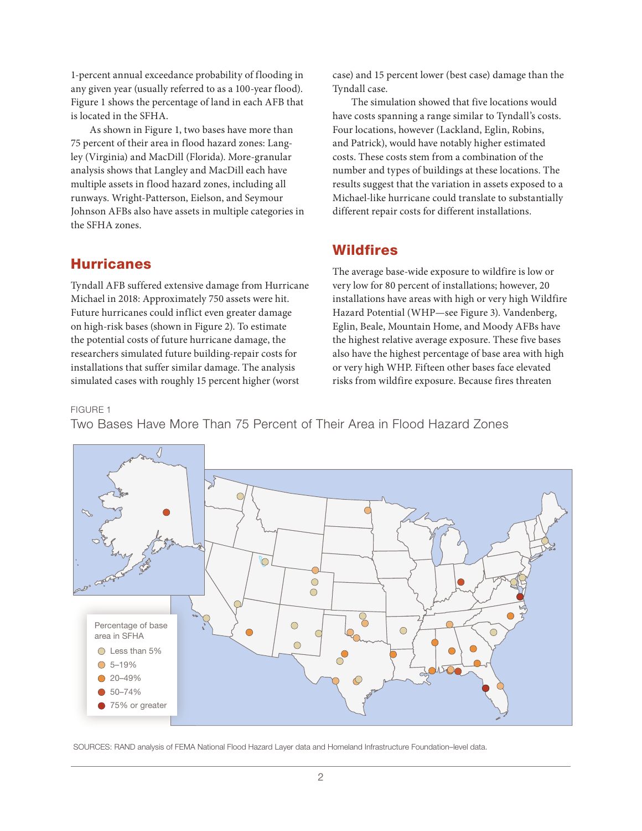1-percent annual exceedance probability of flooding in any given year (usually referred to as a 100-year flood). Figure 1 shows the percentage of land in each AFB that is located in the SFHA.

As shown in Figure 1, two bases have more than 75 percent of their area in flood hazard zones: Langley (Virginia) and MacDill (Florida). More-granular analysis shows that Langley and MacDill each have multiple assets in flood hazard zones, including all runways. Wright-Patterson, Eielson, and Seymour Johnson AFBs also have assets in multiple categories in the SFHA zones.

## Hurricanes

Tyndall AFB suffered extensive damage from Hurricane Michael in 2018: Approximately 750 assets were hit. Future hurricanes could inflict even greater damage on high-risk bases (shown in Figure 2). To estimate the potential costs of future hurricane damage, the researchers simulated future building-repair costs for installations that suffer similar damage. The analysis simulated cases with roughly 15 percent higher (worst

case) and 15 percent lower (best case) damage than the Tyndall case.

The simulation showed that five locations would have costs spanning a range similar to Tyndall's costs. Four locations, however (Lackland, Eglin, Robins, and Patrick), would have notably higher estimated costs. These costs stem from a combination of the number and types of buildings at these locations. The results suggest that the variation in assets exposed to a Michael-like hurricane could translate to substantially different repair costs for different installations.

## **Wildfires**

The average base-wide exposure to wildfire is low or very low for 80 percent of installations; however, 20 installations have areas with high or very high Wildfire Hazard Potential (WHP—see Figure 3). Vandenberg, Eglin, Beale, Mountain Home, and Moody AFBs have the highest relative average exposure. These five bases also have the highest percentage of base area with high or very high WHP. Fifteen other bases face elevated risks from wildfire exposure. Because fires threaten

#### FIGURE 1

Two Bases Have More Than 75 Percent of Their Area in Flood Hazard Zones



SOURCES: RAND analysis of FEMA National Flood Hazard Layer data and Homeland Infrastructure Foundation–level data.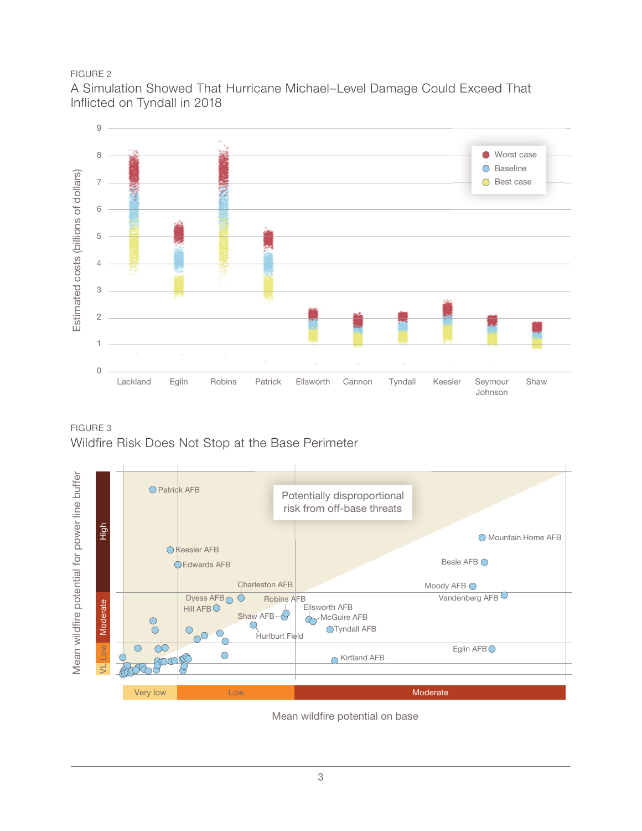#### FIGURE 2

A Simulation Showed That Hurricane Michael–Level Damage Could Exceed That Inflicted on Tyndall in 2018



#### FIGURE 3 Wildfire Risk Does Not Stop at the Base Perimeter



Mean wildfire potential on base